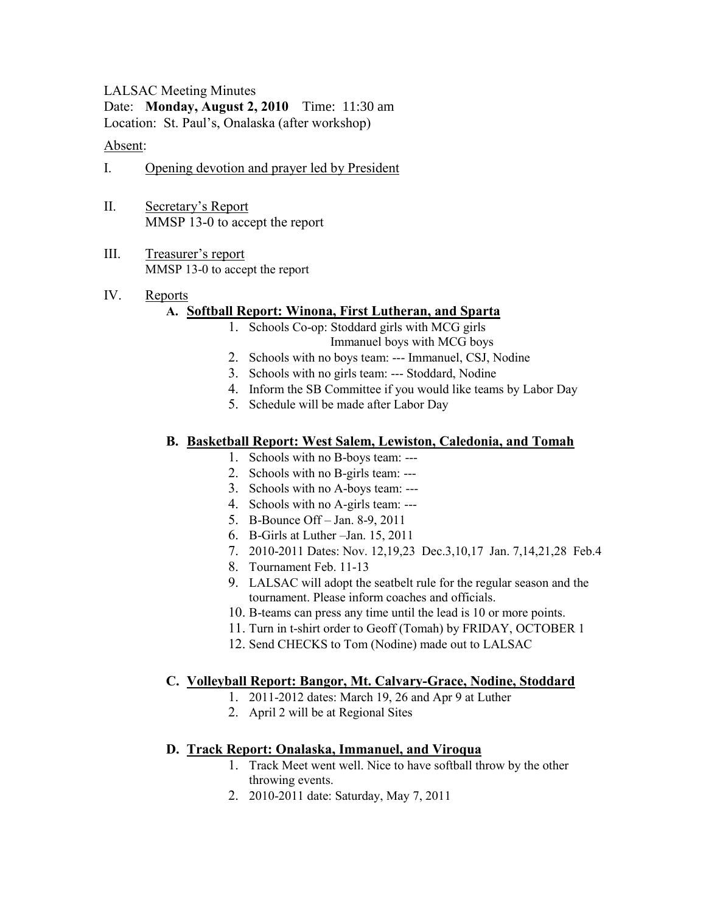LALSAC Meeting Minutes Date: **Monday, August 2, 2010** Time: 11:30 am Location: St. Paul's, Onalaska (after workshop)

#### Absent:

- I. Opening devotion and prayer led by President
- II. Secretary's Report MMSP 13-0 to accept the report
- III. Treasurer's report MMSP 13-0 to accept the report

#### IV. Reports

# **A. Softball Report: Winona, First Lutheran, and Sparta**

- 1. Schools Co-op: Stoddard girls with MCG girls Immanuel boys with MCG boys
- 2. Schools with no boys team: --- Immanuel, CSJ, Nodine
- 3. Schools with no girls team: --- Stoddard, Nodine
- 4. Inform the SB Committee if you would like teams by Labor Day
- 5. Schedule will be made after Labor Day

## **B. Basketball Report: West Salem, Lewiston, Caledonia, and Tomah**

- 1. Schools with no B-boys team: ---
- 2. Schools with no B-girls team: ---
- 3. Schools with no A-boys team: ---
- 4. Schools with no A-girls team: ---
- 5. B-Bounce Off Jan. 8-9, 2011
- 6. B-Girls at Luther –Jan. 15, 2011
- 7. 2010-2011 Dates: Nov. 12,19,23 Dec.3,10,17 Jan. 7,14,21,28 Feb.4
- 8. Tournament Feb. 11-13
- 9. LALSAC will adopt the seatbelt rule for the regular season and the tournament. Please inform coaches and officials.
- 10. B-teams can press any time until the lead is 10 or more points.
- 11. Turn in t-shirt order to Geoff (Tomah) by FRIDAY, OCTOBER 1
- 12. Send CHECKS to Tom (Nodine) made out to LALSAC

## **C. Volleyball Report: Bangor, Mt. Calvary-Grace, Nodine, Stoddard**

- 1. 2011-2012 dates: March 19, 26 and Apr 9 at Luther
- 2. April 2 will be at Regional Sites

## **D. Track Report: Onalaska, Immanuel, and Viroqua**

- 1. Track Meet went well. Nice to have softball throw by the other throwing events.
- 2. 2010-2011 date: Saturday, May 7, 2011